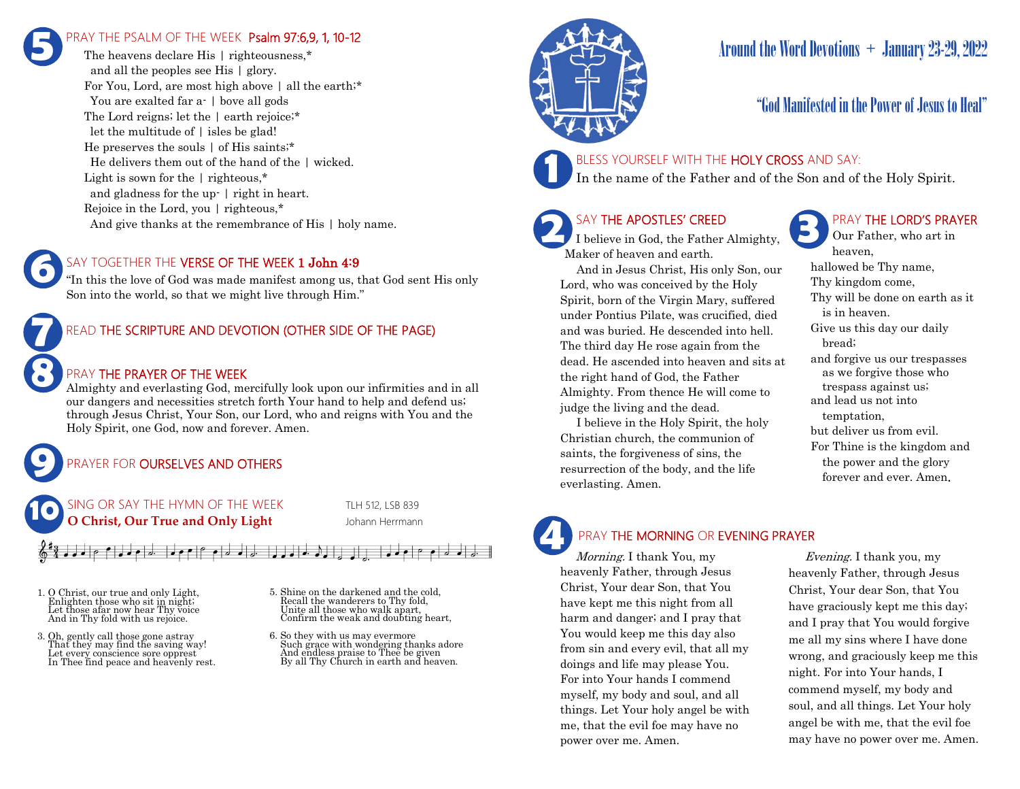# PRAY THE PSALM OF THE WEEK Psalm 97:6,9, 1, 10-12 **5**

The heavens declare His | righteousness.\* and all the peoples see His | glory. For You, Lord, are most high above | all the earth;\* You are exalted far a-  $\vert$  bove all gods The Lord reigns; let the | earth rejoice;\* let the multitude of  $\vert$  isles be glad! He preserves the souls | of His saints;\* He delivers them out of the hand of the | wicked. Light is sown for the | righteous,\* and gladness for the up- | right in heart. Rejoice in the Lord, you | righteous,\* And give thanks at the remembrance of His  $\mid$  holy name.

## SAY TOGETHER THE VERSE OF THE WEEK 1 John 4:9

"In this the love of God was made manifest among us, that God sent His only Son into the world, so that we might live through Him."

## READ THE SCRIPTURE AND DEVOTION (OTHER SIDE OF THE PAGE)

## PRAY THE PRAYER OF THE WEEK

Almighty and everlasting God, mercifully look upon our infirmities and in all our dangers and necessities stretch forth Your hand to help and defend us; through Jesus Christ, Your Son, our Lord, who and reigns with You and the Holy Spirit, one God, now and forever. Amen.

# PRAYER FOR **OURSELVES AND OTHERS**

 $\bullet$   $\bullet$   $\circ$   $\bullet$   $\circ$   $\bullet$   $\circ$   $\bullet$   $\circ$ 



1. O Christ, our true and only Light, Enlighten those who sit in night; Let those afar now hear Thy voice And in Thy fold with us rejoice.

**9**

**8**

**7**

**6**

- 3. Oh, gently call those gone astray That they may find the saving way! Let every conscience sore opprest In Thee find peace and heavenly rest.
- 5. Shine on the darkened and the cold, Bill the wanderers to Thy fold, Unite all those who walk apart, Confirm the weak and doubting heart,
- 6. So they with us may evermore Such grace with wondering thanks adore And endless praise to Thee be given By all Thy Church in earth and heaven.



# Around the Word Devotions + January 23-29, 2022

# "God Manifested in the Power of Jesus to Heal"

## BLESS YOURSELF WITH THE HOLY CROSS AND SAY:

In the name of the Father and of the Son and of the Holy Spirit.

# SAY THE APOSTLES' CREED

**2 SAY THE APOSTLES' CREED I** believe in God, the Father Almighty, Maker of heaven and earth.

 And in Jesus Christ, His only Son, our Lord, who was conceived by the Holy Spirit, born of the Virgin Mary, suffered under Pontius Pilate, was crucified, died and was buried. He descended into hell. The third day He rose again from the dead. He ascended into heaven and sits at the right hand of God, the Father Almighty. From thence He will come to judge the living and the dead.

 I believe in the Holy Spirit, the holy Christian church, the communion of saints, the forgiveness of sins, the resurrection of the body, and the life everlasting. Amen.

# PRAY THE LORD'S PRAYER

Our Father, who art in heaven, hallowed be Thy name, Thy kingdom come, Thy will be done on earth as it is in heaven. Give us this day our daily bread; and forgive us our trespasses as we forgive those who trespass against us; and lead us not into temptation, but deliver us from evil. For Thine is the kingdom and the power and the glory forever and ever. Amen.

# PRAY THE MORNING OR EVENING PRAYER

Morning. I thank You, my heavenly Father, through Jesus Christ, Your dear Son, that You have kept me this night from all harm and danger; and I pray that You would keep me this day also from sin and every evil, that all my doings and life may please You. For into Your hands I commend myself, my body and soul, and all things. Let Your holy angel be with me, that the evil foe may have no power over me. Amen. **4**

 Evening. I thank you, my heavenly Father, through Jesus Christ, Your dear Son, that You have graciously kept me this day; and I pray that You would forgive me all my sins where I have done wrong, and graciously keep me this night. For into Your hands, I commend myself, my body and soul, and all things. Let Your holy angel be with me, that the evil foe may have no power over me. Amen.